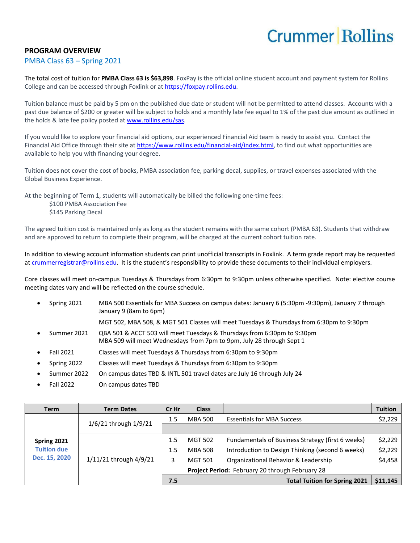## **Crummer Rollins**

## **PROGRAM OVERVIEW**

## PMBA Class 63 – Spring 2021

The total cost of tuition for **PMBA Class 63 is \$63,898**. FoxPay is the official online student account and payment system for Rollins College and can be accessed through Foxlink or a[t https://foxpay.rollins.edu.](https://foxpay.rollins.edu/)

Tuition balance must be paid by 5 pm on the published due date or student will not be permitted to attend classes. Accounts with a past due balance of \$200 or greater will be subject to holds and a monthly late fee equal to 1% of the past due amount as outlined in the holds & late fee policy posted at [www.rollins.edu/sas.](http://www.rollins.edu/sas)

If you would like to explore your financial aid options, our experienced Financial Aid team is ready to assist you. Contact the Financial Aid Office through their site at [https://www.rollins.edu/financial-aid/index.html,](https://www.rollins.edu/financial-aid/index.html) to find out what opportunities are available to help you with financing your degree.

Tuition does not cover the cost of books, PMBA association fee, parking decal, supplies, or travel expenses associated with the Global Business Experience.

At the beginning of Term 1, students will automatically be billed the following one-time fees:

\$100 PMBA Association Fee \$145 Parking Decal

The agreed tuition cost is maintained only as long as the student remains with the same cohort (PMBA 63). Students that withdraw and are approved to return to complete their program, will be charged at the current cohort tuition rate.

In addition to viewing account information students can print unofficial transcripts in Foxlink. A term grade report may be requested a[t crummerregistrar@rollins.edu](mailto:crummerregistrar@rollins.edu). It is the student's responsibility to provide these documents to their individual employers.

Core classes will meet on-campus Tuesdays & Thursdays from 6:30pm to 9:30pm unless otherwise specified. Note: elective course meeting dates vary and will be reflected on the course schedule.

• Spring 2021 MBA 500 Essentials for MBA Success on campus dates: January 6 (5:30pm -9:30pm), January 7 through January 9 (8am to 6pm)

MGT 502, MBA 508, & MGT 501 Classes will meet Tuesdays & Thursdays from 6:30pm to 9:30pm

- Summer 2021 QBA 501 & ACCT 503 will meet Tuesdays & Thursdays from 6:30pm to 9:30pm MBA 509 will meet Wednesdays from 7pm to 9pm, July 28 through Sept 1
- Fall 2021 Classes will meet Tuesdays & Thursdays from 6:30pm to 9:30pm
- Spring 2022 Classes will meet Tuesdays & Thursdays from 6:30pm to 9:30pm
- Summer 2022 On campus dates TBD & INTL 501 travel dates are July 16 through July 24
- Fall 2022 On campus dates TBD

| <b>Term</b>                                        | <b>Term Dates</b>      | Cr Hr | <b>Class</b>                                    |                                                   | <b>Tuition</b> |
|----------------------------------------------------|------------------------|-------|-------------------------------------------------|---------------------------------------------------|----------------|
| Spring 2021<br><b>Tuition due</b><br>Dec. 15, 2020 | 1/6/21 through 1/9/21  | 1.5   | <b>MBA 500</b>                                  | <b>Essentials for MBA Success</b>                 | \$2,229        |
|                                                    |                        |       |                                                 |                                                   |                |
|                                                    | 1/11/21 through 4/9/21 | 1.5   | <b>MGT 502</b>                                  | Fundamentals of Business Strategy (first 6 weeks) | \$2,229        |
|                                                    |                        | 1.5   | <b>MBA 508</b>                                  | Introduction to Design Thinking (second 6 weeks)  | \$2,229        |
|                                                    |                        | 3     | <b>MGT 501</b>                                  | Organizational Behavior & Leadership              | \$4,458        |
|                                                    |                        |       | Project Period: February 20 through February 28 |                                                   |                |
|                                                    |                        | 7.5   |                                                 | <b>Total Tuition for Spring 2021</b>              | \$11,145       |